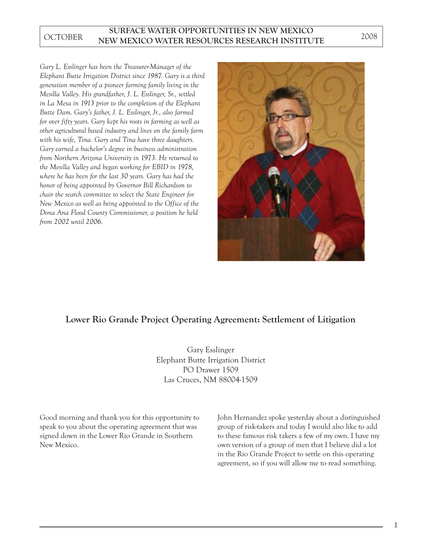## **SURFACE WATER OPPORTUNITIES IN NEW MEXICO** OCTOBER NEW MEXICO WATER RESOURCES RESEARCH INSTITUTE<sup>2008</sup>

*Gary L. Esslinger has been the Treasurer-Manager of the Elephant Butte Irrigation District since 1987. Gary is a third generation member of a pioneer farming family living in the Mesilla Valley. His grandfather, J. L. Esslinger, Sr., settled in La Mesa in 1913 prior to the completion of the Elephant Butte Dam. Gary's father, J. L. Esslinger, Jr., also farmed for over fifty years. Gary kept his roots in farming as well as other agricultural based industry and lives on the family farm with his wife, Tina. Gary and Tina have three daughters. Gary earned a bachelor's degree in business administration from Northern Arizona University in 1973. He returned to the Mesilla Valley and began working for EBID in 1978, where he has been for the last 30 years. Gary has had the honor of being appointed by Governor Bill Richardson to chair the search committee to select the State Engineer for New Mexico as well as being appointed to the Office of the Dona Ana Flood County Commissioner, a position he held from 2002 until 2006.*



## **Lower Rio Grande Project Operating Agreement: Settlement of Litigation**

Gary Esslinger Elephant Butte Irrigation District PO Drawer 1509 Las Cruces, NM 88004-1509

Good morning and thank you for this opportunity to speak to you about the operating agreement that was signed down in the Lower Rio Grande in Southern New Mexico.

John Hernandez spoke yesterday about a distinguished group of risk-takers and today I would also like to add to these famous risk takers a few of my own. I have my own version of a group of men that I believe did a lot in the Rio Grande Project to settle on this operating agreement, so if you will allow me to read something.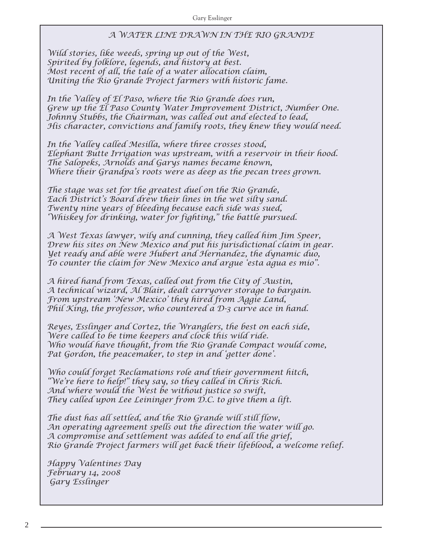## *A WATER LINE DRAWN IN THE RIO GRANDE*

*Wild stories, like weeds, spring up out of the West, Spirited by folklore, legends, and history at best. Most recent of all, the tale of a water allocation claim, Uniting the Rio Grande Project farmers with historic fame.*

*In the Valley of El Paso, where the Rio Grande does run, Grew up the El Paso County Water Improvement District, Number One. Johnny Stubbs, the Chairman, was called out and elected to lead, His character, convictions and family roots, they knew they would need.* 

*In the Valley called Mesilla, where three crosses stood, Elephant Butte Irrigation was upstream, with a reservoir in their hood. The Salopeks, Arnolds and Garys names became known, Where their Grandpa's roots were as deep as the pecan trees grown.*

*The stage was set for the greatest duel on the Rio Grande, Each District's Board drew their lines in the wet silty sand. Twenty nine years of bleeding because each side was sued, 'Whiskey for drinking, water for fighting," the battle pursued.*

*A West Texas lawyer, wily and cunning, they called him Jim Speer, Drew his sites on New Mexico and put his jurisdictional claim in gear. Yet ready and able were Hubert and Hernandez, the dynamic duo, To counter the claim for New Mexico and argue 'esta agua es mio".*

*A hired hand from Texas, called out from the City of Austin, A technical wizard, Al Blair, dealt carryover storage to bargain. From upstream 'New Mexico' they hired from Aggie Land, Phil King, the professor, who countered a D-3 curve ace in hand.*

*Reyes, Esslinger and Cortez, the Wranglers, the best on each side, Were called to be time keepers and clock this wild ride. Who would have thought, from the Rio Grande Compact would come, Pat Gordon, the peacemaker, to step in and 'getter done'.* 

*Who could forget Reclamations role and their government hitch, "We're here to help!" they say, so they called in Chris Rich. And where would the West be without justice so swift, They called upon Lee Leininger from D.C. to give them a lift.*

*The dust has all settled, and the Rio Grande will still flow, An operating agreement spells out the direction the water will go. A compromise and settlement was added to end all the grief, Rio Grande Project farmers will get back their lifeblood, a welcome relief.* 

*Happy Valentines Day February 14, 2008 Gary Esslinger*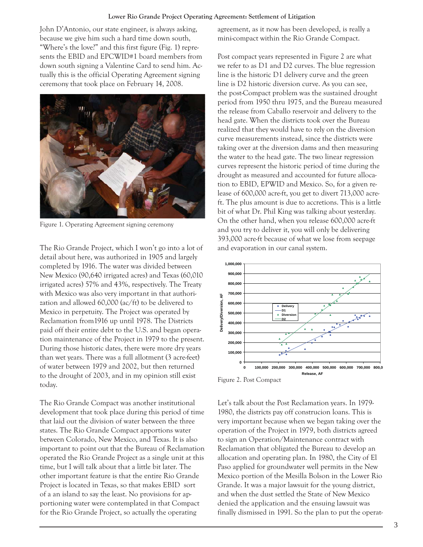John D'Antonio, our state engineer, is always asking, because we give him such a hard time down south, "Where's the love?" and this first figure (Fig. 1) represents the EBID and EPCWID#1 board members from down south signing a Valentine Card to send him. Actually this is the official Operating Agreement signing ceremony that took place on February 14, 2008.



Figure 1. Operating Agreement signing ceremony

The Rio Grande Project, which I won't go into a lot of detail about here, was authorized in 1905 and largely completed by 1916. The water was divided between New Mexico (90,640 irrigated acres) and Texas (60,010 irrigated acres) 57% and 43%, respectively. The Treaty with Mexico was also very important in that authorization and allowed 60,000 (ac/ft) to be delivered to Mexico in perpetuity. The Project was operated by Reclamation from1916 up until 1978. The Districts paid off their entire debt to the U.S. and began operation maintenance of the Project in 1979 to the present. During those historic dates, there were more dry years than wet years. There was a full allotment (3 acre-feet) of water between 1979 and 2002, but then returned to the drought of 2003, and in my opinion still exist today.

The Rio Grande Compact was another institutional development that took place during this period of time that laid out the division of water between the three states. The Rio Grande Compact apportions water between Colorado, New Mexico, and Texas. It is also important to point out that the Bureau of Reclamation operated the Rio Grande Project as a single unit at this time, but I will talk about that a little bit later. The other important feature is that the entire Rio Grande Project is located in Texas, so that makes EBID sort of a an island to say the least. No provisions for apportioning water were contemplated in that Compact for the Rio Grande Project, so actually the operating

agreement, as it now has been developed, is really a mini-compact within the Rio Grande Compact.

Post compact years represented in Figure 2 are what we refer to as D1 and D2 curves. The blue regression line is the historic D1 delivery curve and the green line is D2 historic diversion curve. As you can see, the post-Compact problem was the sustained drought period from 1950 thru 1975, and the Bureau measured the release from Caballo reservoir and delivery to the head gate. When the districts took over the Bureau realized that they would have to rely on the diversion curve measurements instead, since the districts were taking over at the diversion dams and then measuring the water to the head gate. The two linear regression curves represent the historic period of time during the drought as measured and accounted for future allocation to EBID, EPWID and Mexico. So, for a given release of 600,000 acre-ft, you get to divert 713,000 acreft. The plus amount is due to accretions. This is a little bit of what Dr. Phil King was talking about yesterday. On the other hand, when you release 600,000 acre-ft and you try to deliver it, you will only be delivering 393,000 acre-ft because of what we lose from seepage and evaporation in our canal system.



Figure 2. Post Compact

Let's talk about the Post Reclamation years. In 1979- 1980, the districts pay off construcion loans. This is very important because when we began taking over the operation of the Project in 1979, both districts agreed to sign an Operation/Maintenance contract with Reclamation that obligated the Bureau to develop an allocation and operating plan. In 1980, the City of El Paso applied for groundwater well permits in the New Mexico portion of the Mesilla Bolson in the Lower Rio Grande. It was a major lawsuit for the young district, and when the dust settled the State of New Mexico denied the application and the ensuing lawsuit was finally dismissed in 1991. So the plan to put the operat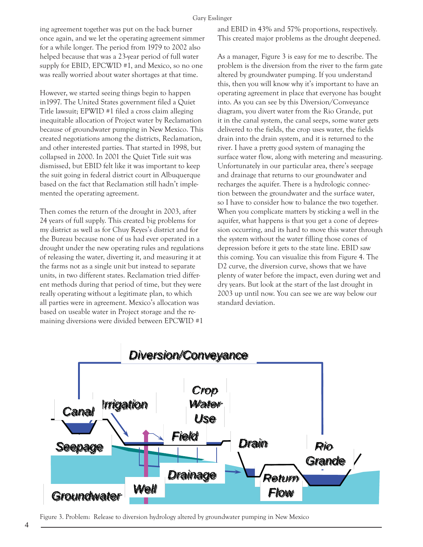ing agreement together was put on the back burner once again, and we let the operating agreement simmer for a while longer. The period from 1979 to 2002 also helped because that was a 23-year period of full water supply for EBID, EPCWID #1, and Mexico, so no one was really worried about water shortages at that time.

However, we started seeing things begin to happen in1997. The United States government filed a Quiet Title lawsuit; EPWID #1 filed a cross claim alleging inequitable allocation of Project water by Reclamation because of groundwater pumping in New Mexico. This created negotiations among the districts, Reclamation, and other interested parties. That started in 1998, but collapsed in 2000. In 2001 the Quiet Title suit was dismissed, but EBID felt like it was important to keep the suit going in federal district court in Albuquerque based on the fact that Reclamation still hadn't implemented the operating agreement.

Then comes the return of the drought in 2003, after 24 years of full supply. This created big problems for my district as well as for Chuy Reyes's district and for the Bureau because none of us had ever operated in a drought under the new operating rules and regulations of releasing the water, diverting it, and measuring it at the farms not as a single unit but instead to separate units, in two different states. Reclamation tried different methods during that period of time, but they were really operating without a legitimate plan, to which all parties were in agreement. Mexico's allocation was based on useable water in Project storage and the remaining diversions were divided between EPCWID #1

and EBID in 43% and 57% proportions, respectively. This created major problems as the drought deepened.

As a manager, Figure 3 is easy for me to describe. The problem is the diversion from the river to the farm gate altered by groundwater pumping. If you understand this, then you will know why it's important to have an operating agreement in place that everyone has bought into. As you can see by this Diversion/Conveyance diagram, you divert water from the Rio Grande, put it in the canal system, the canal seeps, some water gets delivered to the fields, the crop uses water, the fields drain into the drain system, and it is returned to the river. I have a pretty good system of managing the surface water flow, along with metering and measuring. Unfortunately in our particular area, there's seepage and drainage that returns to our groundwater and recharges the aquifer. There is a hydrologic connection between the groundwater and the surface water, so I have to consider how to balance the two together. When you complicate matters by sticking a well in the aquifer, what happens is that you get a cone of depression occurring, and its hard to move this water through the system without the water filling those cones of depression before it gets to the state line. EBID saw this coming. You can visualize this from Figure 4. The D2 curve, the diversion curve, shows that we have plenty of water before the impact, even during wet and dry years. But look at the start of the last drought in 2003 up until now. You can see we are way below our standard deviation.



Figure 3. Problem: Release to diversion hydrology altered by groundwater pumping in New Mexico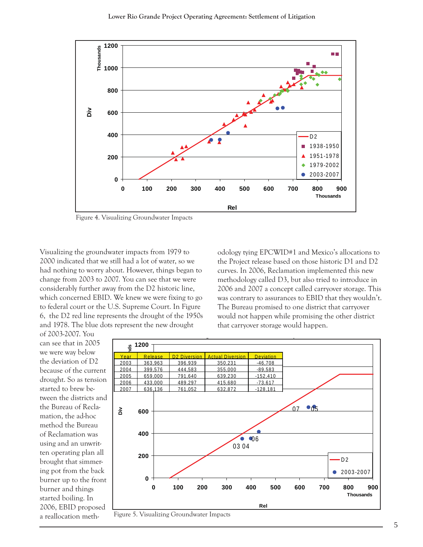

Figure 4. Visualizing Groundwater Impacts

Visualizing the groundwater impacts from 1979 to 2000 indicated that we still had a lot of water, so we had nothing to worry about. However, things began to change from 2003 to 2007. You can see that we were considerably further away from the D2 historic line, which concerned EBID. We knew we were fixing to go to federal court or the U.S. Supreme Court. In Figure 6, the D2 red line represents the drought of the 1950s and 1978. The blue dots represent the new drought

odology tying EPCWID#1 and Mexico's allocations to the Project release based on those historic D1 and D2 curves. In 2006, Reclamation implemented this new methodology called D3, but also tried to introduce in 2006 and 2007 a concept called carryover storage. This was contrary to assurances to EBID that they wouldn't. The Bureau promised to one district that carryover would not happen while promising the other district that carryover storage would happen.

of 2003-2007. You can see that in 2005 we were way below the deviation of D2 because of the current drought. So as tension started to brew between the districts and the Bureau of Reclamation, the ad-hoc method the Bureau of Reclamation was using and an unwritten operating plan all brought that simmering pot from the back burner up to the front burner and things started boiling. In 2006, EBID proposed a reallocation meth-



5